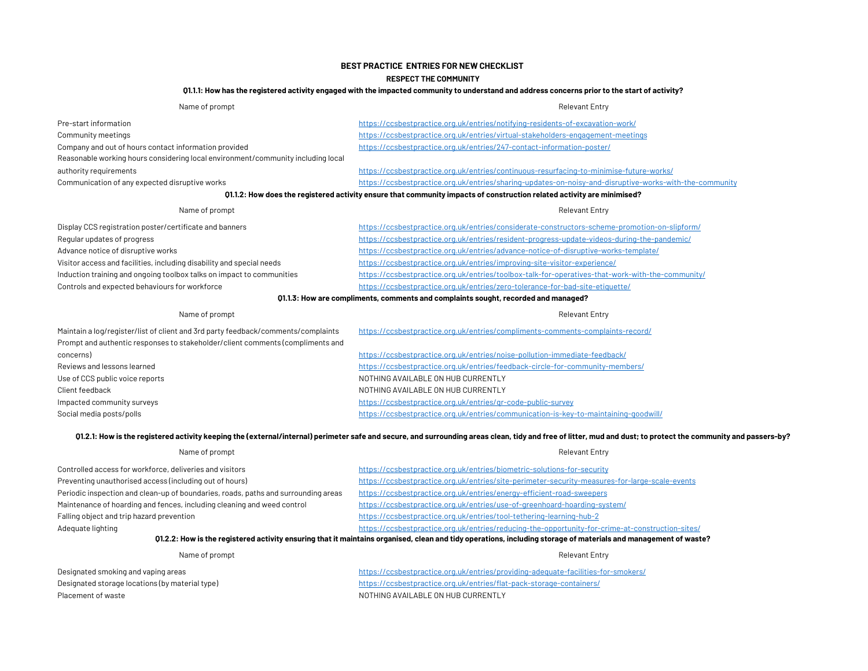# BEST PRACTICE ENTRIES FOR NEW CHECKLIST

#### RESPECT THE COMMUNITY

#### Q1.1.1: How has the registered activity engaged with the impacted community to understand and address concerns prior to the start of activity?

| Name of prompt                                                                                                         | <b>Relevant Entry</b>                                                                                   |  |
|------------------------------------------------------------------------------------------------------------------------|---------------------------------------------------------------------------------------------------------|--|
| Pre-start information                                                                                                  | https://ccsbestpractice.org.uk/entries/notifying-residents-of-excavation-work/                          |  |
| Community meetings                                                                                                     | https://ccsbestpractice.org.uk/entries/virtual-stakeholders-engagement-meetings                         |  |
| Company and out of hours contact information provided                                                                  | https://ccsbestpractice.org.uk/entries/247-contact-information-poster/                                  |  |
| Reasonable working hours considering local environment/community including local                                       |                                                                                                         |  |
| authority requirements                                                                                                 | https://ccsbestpractice.org.uk/entries/continuous-resurfacing-to-minimise-future-works/                 |  |
| Communication of any expected disruptive works                                                                         | https://ccsbestpractice.org.uk/entries/sharing-updates-on-noisy-and-disruptive-works-with-the-community |  |
| 01.1.2: How does the registered activity ensure that community impacts of construction related activity are minimised? |                                                                                                         |  |
| Name of prompt                                                                                                         | <b>Relevant Entry</b>                                                                                   |  |
| Display CCS registration poster/certificate and banners                                                                | https://ccsbestpractice.org.uk/entries/considerate-constructors-scheme-promotion-on-slipform/           |  |
| Regular updates of progress                                                                                            | https://ccsbestpractice.org.uk/entries/resident-progress-update-videos-during-the-pandemic/             |  |

Advance notice of disruptive works Visitor access and facilities, including disability and special needs Induction training and ongoing toolbox talks on impact to communities Controls and expected behaviours for workforce https://ccsbestpractice.org.uk/entries/advance-notice-of-disruptive-works-template/ https://ccsbestpractice.org.uk/entries/improving-site-visitor-experience/ https://ccsbestpractice.org.uk/entries/toolbox-talk-for-operatives-that-work-with-the-community/ https://ccsbestpractice.org.uk/entries/zero-tolerance-for-bad-site-etiquette/

## Q1.1.3: How are compliments, comments and complaints sought, recorded and managed?

| Name of prompt                                                                                                                                                      | <b>Relevant Entry</b>                                                                |
|---------------------------------------------------------------------------------------------------------------------------------------------------------------------|--------------------------------------------------------------------------------------|
| Maintain a log/register/list of client and 3rd party feedback/comments/complaints<br>Prompt and authentic responses to stakeholder/client comments (compliments and | https://ccsbestpractice.org.uk/entries/compliments-comments-complaints-record/       |
| concerns)                                                                                                                                                           | https://ccsbestpractice.org.uk/entries/noise-pollution-immediate-feedback/           |
| Reviews and lessons learned                                                                                                                                         | https://ccsbestpractice.org.uk/entries/feedback-circle-for-community-members/        |
| Use of CCS public voice reports                                                                                                                                     | NOTHING AVAILABLE ON HUB CURRENTLY                                                   |
| Client feedback                                                                                                                                                     | NOTHING AVAILABLE ON HUB CURRENTLY                                                   |
| Impacted community surveys                                                                                                                                          | https://ccsbestpractice.org.uk/entries/gr-code-public-survey                         |
| Social media posts/polls                                                                                                                                            | https://ccsbestpractice.org.uk/entries/communication-is-key-to-maintaining-goodwill/ |

### Q1.2.1: How is the registered activity keeping the (external/internal) perimeter safe and secure, and surrounding areas clean, tidy and free of litter, mud and dust; to protect the community and passers-by?

| Name of prompt                                                                                                                                                  | <b>Relevant Entry</b>                                                                                                                                                                                                             |  |
|-----------------------------------------------------------------------------------------------------------------------------------------------------------------|-----------------------------------------------------------------------------------------------------------------------------------------------------------------------------------------------------------------------------------|--|
| Controlled access for workforce, deliveries and visitors                                                                                                        | https://ccsbestpractice.org.uk/entries/biometric-solutions-for-security                                                                                                                                                           |  |
| Preventing unauthorised access (including out of hours)                                                                                                         | https://ccsbestpractice.org.uk/entries/site-perimeter-security-measures-for-large-scale-events                                                                                                                                    |  |
| Periodic inspection and clean-up of boundaries, roads, paths and surrounding areas                                                                              | https://ccsbestpractice.org.uk/entries/energy-efficient-road-sweepers                                                                                                                                                             |  |
| Maintenance of hoarding and fences, including cleaning and weed control                                                                                         | https://ccsbestpractice.org.uk/entries/use-of-greenhoard-hoarding-system/                                                                                                                                                         |  |
| Falling object and trip hazard prevention                                                                                                                       | https://ccsbestpractice.org.uk/entries/tool-tethering-learning-hub-2                                                                                                                                                              |  |
| Adequate lighting                                                                                                                                               | https://ccsbestpractice.org.uk/entries/reducing-the-opportunity-for-crime-at-construction-sites/                                                                                                                                  |  |
| 01.2.2: How is the registered activity ensuring that it maintains organised, clean and tidy operations, including storage of materials and management of waste? |                                                                                                                                                                                                                                   |  |
| Name of prompt                                                                                                                                                  | <b>Relevant Entry</b>                                                                                                                                                                                                             |  |
|                                                                                                                                                                 | $\mathbf{r}$ , and the contract of the contract of the contract of the contract of the contract of the contract of the contract of the contract of the contract of the contract of the contract of the contract of the contract o |  |

Designated smoking and vaping areas Designated storage locations (by material type) Placement of waste Notified the Northern State Northern State Northern State Northern State Northern State Northern State Northern State Northern State Northern State Northern State Northern State Northern State Northern S https://ccsbestpractice.org.uk/entries/providing-adequate-facilities-for-smokers/ https://ccsbestpractice.org.uk/entries/flat-pack-storage-containers/